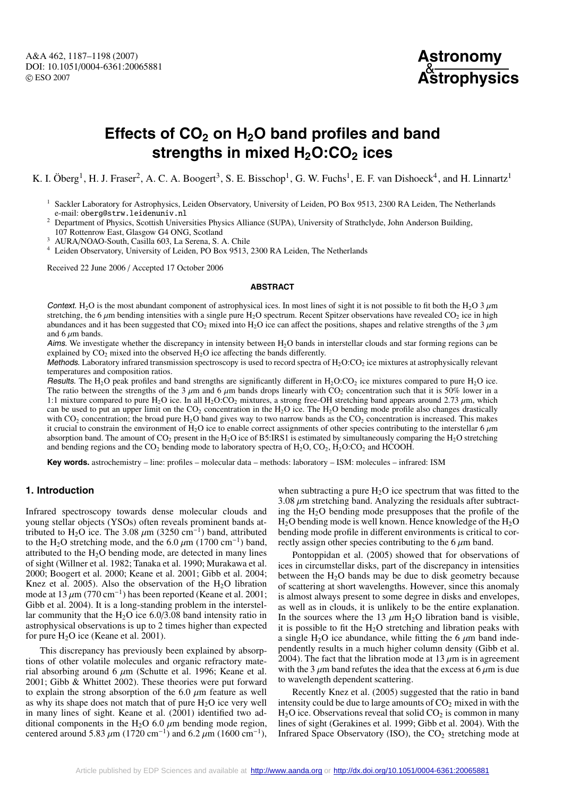

# **Effects of CO2 on H2O band profiles and band** strengths in mixed H<sub>2</sub>O:CO<sub>2</sub> ices

K. I. Öberg<sup>1</sup>, H. J. Fraser<sup>2</sup>, A. C. A. Boogert<sup>3</sup>, S. E. Bisschop<sup>1</sup>, G. W. Fuchs<sup>1</sup>, E. F. van Dishoeck<sup>4</sup>, and H. Linnartz<sup>1</sup>

- <sup>1</sup> Sackler Laboratory for Astrophysics, Leiden Observatory, University of Leiden, PO Box 9513, 2300 RA Leiden, The Netherlands e-mail: oberg@strw.leidenuniv.nl
- <sup>2</sup> Department of Physics, Scottish Universities Physics Alliance (SUPA), University of Strathclyde, John Anderson Building,  $107$  Rottenrow East, Glasgow G4 ONG, Scotland<br><sup>3</sup> AURA/NOAO-South, Casilla 603, La Serena, S. A. Chile
- 
- <sup>4</sup> Leiden Observatory, University of Leiden, PO Box 9513, 2300 RA Leiden, The Netherlands

Received 22 June 2006 / Accepted 17 October 2006

#### **ABSTRACT**

Context. H<sub>2</sub>O is the most abundant component of astrophysical ices. In most lines of sight it is not possible to fit both the H<sub>2</sub>O 3  $\mu$ m stretching, the 6  $\mu$ m bending intensities with a single pure H<sub>2</sub>O spectrum. Recent Spitzer observations have revealed CO<sub>2</sub> ice in high abundances and it has been suggested that  $CO<sub>2</sub>$  mixed into H<sub>2</sub>O ice can affect the positions, shapes and relative strengths of the 3  $\mu$ m and 6  $\mu$ m bands.

Aims. We investigate whether the discrepancy in intensity between  $H_2O$  bands in interstellar clouds and star forming regions can be explained by  $CO<sub>2</sub>$  mixed into the observed  $H<sub>2</sub>O$  ice affecting the bands differently.

Methods. Laboratory infrared transmission spectroscopy is used to record spectra of  $H_2O:CO_2$  ice mixtures at astrophysically relevant temperatures and composition ratios.

Results. The H<sub>2</sub>O peak profiles and band strengths are significantly different in H<sub>2</sub>O:CO<sub>2</sub> ice mixtures compared to pure H<sub>2</sub>O ice. The ratio between the strengths of the 3  $\mu$ m and 6  $\mu$ m bands drops linearly with CO<sub>2</sub> concentration such that it is 50% lower in a 1:1 mixture compared to pure H<sub>2</sub>O ice. In all H<sub>2</sub>O:CO<sub>2</sub> mixtures, a strong free-OH stretching band appears around 2.73  $\mu$ m, which can be used to put an upper limit on the  $CO<sub>2</sub>$  concentration in the H<sub>2</sub>O ice. The H<sub>2</sub>O bending mode profile also changes drastically with  $CO<sub>2</sub>$  concentration; the broad pure H<sub>2</sub>O band gives way to two narrow bands as the  $CO<sub>2</sub>$  concentration is increased. This makes it crucial to constrain the environment of  $H_2O$  ice to enable correct assignments of other species contributing to the interstellar 6  $\mu$ m absorption band. The amount of  $CO_2$  present in the H<sub>2</sub>O ice of B5:IRS1 is estimated by simultaneously comparing the H<sub>2</sub>O stretching and bending regions and the  $CO_2$  bending mode to laboratory spectra of  $H_2O$ ,  $CO_2$ ,  $H_2O$ : $CO_2$  and HCOOH.

**Key words.** astrochemistry – line: profiles – molecular data – methods: laboratory – ISM: molecules – infrared: ISM

# **1. Introduction**

Infrared spectroscopy towards dense molecular clouds and young stellar objects (YSOs) often reveals prominent bands attributed to H<sub>2</sub>O ice. The 3.08  $\mu$ m (3250 cm<sup>-1</sup>) band, attributed to the H<sub>2</sub>O stretching mode, and the 6.0  $\mu$ m (1700 cm<sup>-1</sup>) band, attributed to the  $H_2O$  bending mode, are detected in many lines of sight (Willner et al. 1982; Tanaka et al. 1990; Murakawa et al. 2000; Boogert et al. 2000; Keane et al. 2001; Gibb et al. 2004; Knez et al. 2005). Also the observation of the  $H_2O$  libration mode at  $13 \mu m$  (770 cm<sup>-1</sup>) has been reported (Keane et al. 2001; Gibb et al. 2004). It is a long-standing problem in the interstellar community that the  $H<sub>2</sub>O$  ice 6.0/3.08 band intensity ratio in astrophysical observations is up to 2 times higher than expected for pure  $H_2O$  ice (Keane et al. 2001).

This discrepancy has previously been explained by absorptions of other volatile molecules and organic refractory material absorbing around 6  $\mu$ m (Schutte et al. 1996; Keane et al. 2001; Gibb & Whittet 2002). These theories were put forward to explain the strong absorption of the 6.0  $\mu$ m feature as well as why its shape does not match that of pure  $H<sub>2</sub>O$  ice very well in many lines of sight. Keane et al. (2001) identified two additional components in the H<sub>2</sub>O 6.0  $\mu$ m bending mode region, centered around 5.83  $\mu$ m (1720 cm<sup>-1</sup>) and 6.2  $\mu$ m (1600 cm<sup>-1</sup>),

when subtracting a pure  $H_2O$  ice spectrum that was fitted to the  $3.08 \mu$ m stretching band. Analyzing the residuals after subtracting the H2O bending mode presupposes that the profile of the  $H<sub>2</sub>O$  bending mode is well known. Hence knowledge of the  $H<sub>2</sub>O$ bending mode profile in different environments is critical to correctly assign other species contributing to the  $6 \mu m$  band.

Pontoppidan et al. (2005) showed that for observations of ices in circumstellar disks, part of the discrepancy in intensities between the  $H_2O$  bands may be due to disk geometry because of scattering at short wavelengths. However, since this anomaly is almost always present to some degree in disks and envelopes, as well as in clouds, it is unlikely to be the entire explanation. In the sources where the 13  $\mu$ m H<sub>2</sub>O libration band is visible, it is possible to fit the  $H_2O$  stretching and libration peaks with a single H<sub>2</sub>O ice abundance, while fitting the 6  $\mu$ m band independently results in a much higher column density (Gibb et al. 2004). The fact that the libration mode at 13  $\mu$ m is in agreement with the 3  $\mu$ m band refutes the idea that the excess at 6  $\mu$ m is due to wavelength dependent scattering.

Recently Knez et al. (2005) suggested that the ratio in band intensity could be due to large amounts of  $CO<sub>2</sub>$  mixed in with the  $H<sub>2</sub>O$  ice. Observations reveal that solid  $CO<sub>2</sub>$  is common in many lines of sight (Gerakines et al. 1999; Gibb et al. 2004). With the Infrared Space Observatory (ISO), the  $CO<sub>2</sub>$  stretching mode at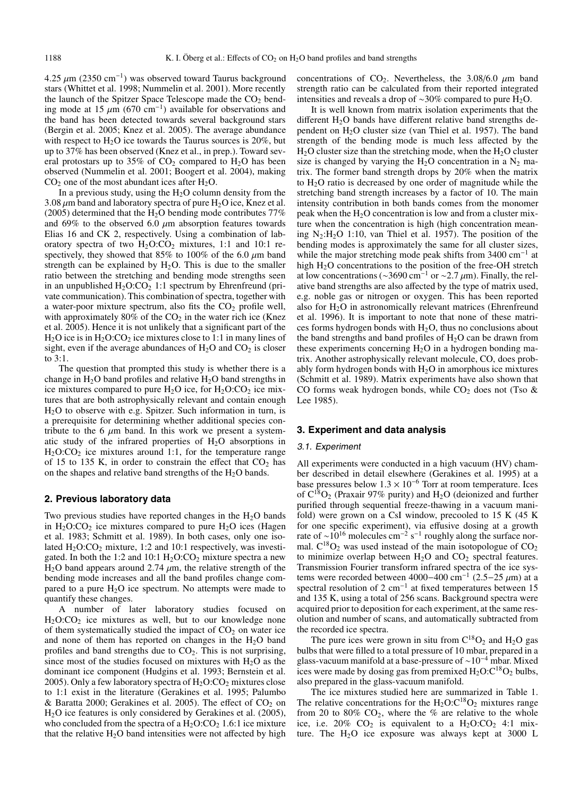4.25  $\mu$ m (2350 cm<sup>-1</sup>) was observed toward Taurus background stars (Whittet et al. 1998; Nummelin et al. 2001). More recently the launch of the Spitzer Space Telescope made the  $CO<sub>2</sub>$  bending mode at 15  $\mu$ m (670 cm<sup>-1</sup>) available for observations and the band has been detected towards several background stars (Bergin et al. 2005; Knez et al. 2005). The average abundance with respect to  $H_2O$  ice towards the Taurus sources is 20%, but up to 37% has been observed (Knez et al., in prep.). Toward several protostars up to 35% of  $CO<sub>2</sub>$  compared to H<sub>2</sub>O has been observed (Nummelin et al. 2001; Boogert et al. 2004), making  $CO<sub>2</sub>$  one of the most abundant ices after H<sub>2</sub>O.

In a previous study, using the  $H_2O$  column density from the 3.08  $\mu$ m band and laboratory spectra of pure H<sub>2</sub>O ice, Knez et al. (2005) determined that the  $H_2O$  bending mode contributes 77% and 69% to the observed 6.0  $\mu$ m absorption features towards Elias 16 and CK 2, respectively. Using a combination of laboratory spectra of two  $H_2O:CO_2$  mixtures, 1:1 and 10:1 respectively, they showed that 85% to 100% of the 6.0  $\mu$ m band strength can be explained by  $H_2O$ . This is due to the smaller ratio between the stretching and bending mode strengths seen in an unpublished  $H_2O:CO_2$  1:1 spectrum by Ehrenfreund (private communication). This combination of spectra, together with a water-poor mixture spectrum, also fits the  $CO<sub>2</sub>$  profile well, with approximately 80% of the  $CO<sub>2</sub>$  in the water rich ice (Knez et al. 2005). Hence it is not unlikely that a significant part of the  $H<sub>2</sub>O$  ice is in  $H<sub>2</sub>O$ :CO<sub>2</sub> ice mixtures close to 1:1 in many lines of sight, even if the average abundances of  $H_2O$  and  $CO_2$  is closer to 3:1.

The question that prompted this study is whether there is a change in  $H_2O$  band profiles and relative  $H_2O$  band strengths in ice mixtures compared to pure  $H_2O$  ice, for  $H_2O:CO_2$  ice mixtures that are both astrophysically relevant and contain enough H2O to observe with e.g. Spitzer. Such information in turn, is a prerequisite for determining whether additional species contribute to the 6  $\mu$ m band. In this work we present a systematic study of the infrared properties of  $H<sub>2</sub>O$  absorptions in  $H<sub>2</sub>O:CO<sub>2</sub>$  ice mixtures around 1:1, for the temperature range of 15 to 135 K, in order to constrain the effect that  $CO<sub>2</sub>$  has on the shapes and relative band strengths of the  $H_2O$  bands.

#### **2. Previous laboratory data**

Two previous studies have reported changes in the  $H<sub>2</sub>O$  bands in  $H_2O:CO_2$  ice mixtures compared to pure  $H_2O$  ices (Hagen et al. 1983; Schmitt et al. 1989). In both cases, only one isolated  $H_2O:CO_2$  mixture, 1:2 and 10:1 respectively, was investigated. In both the 1:2 and 10:1  $H_2O:CO_2$  mixture spectra a new  $H<sub>2</sub>O$  band appears around 2.74  $\mu$ m, the relative strength of the bending mode increases and all the band profiles change compared to a pure  $H_2O$  ice spectrum. No attempts were made to quantify these changes.

A number of later laboratory studies focused on  $H<sub>2</sub>O:CO<sub>2</sub>$  ice mixtures as well, but to our knowledge none of them systematically studied the impact of  $CO<sub>2</sub>$  on water ice and none of them has reported on changes in the  $H_2O$  band profiles and band strengths due to  $CO<sub>2</sub>$ . This is not surprising, since most of the studies focused on mixtures with  $H_2O$  as the dominant ice component (Hudgins et al. 1993; Bernstein et al. 2005). Only a few laboratory spectra of  $H_2O:CO_2$  mixtures close to 1:1 exist in the literature (Gerakines et al. 1995; Palumbo & Baratta 2000; Gerakines et al. 2005). The effect of  $CO<sub>2</sub>$  on H2O ice features is only considered by Gerakines et al. (2005), who concluded from the spectra of a  $H_2O:CO_2 1.6:1$  ice mixture that the relative  $H_2O$  band intensities were not affected by high

concentrations of CO<sub>2</sub>. Nevertheless, the 3.08/6.0  $\mu$ m band strength ratio can be calculated from their reported integrated intensities and reveals a drop of ~30% compared to pure H<sub>2</sub>O.

It is well known from matrix isolation experiments that the different  $H<sub>2</sub>O$  bands have different relative band strengths dependent on  $H<sub>2</sub>O$  cluster size (van Thiel et al. 1957). The band strength of the bending mode is much less affected by the  $H<sub>2</sub>O$  cluster size than the stretching mode, when the  $H<sub>2</sub>O$  cluster size is changed by varying the H<sub>2</sub>O concentration in a  $N_2$  matrix. The former band strength drops by 20% when the matrix to H2O ratio is decreased by one order of magnitude while the stretching band strength increases by a factor of 10. The main intensity contribution in both bands comes from the monomer peak when the  $H_2O$  concentration is low and from a cluster mixture when the concentration is high (high concentration meaning  $N_2:H_2O$  1:10, van Thiel et al. 1957). The position of the bending modes is approximately the same for all cluster sizes, while the major stretching mode peak shifts from  $3400 \text{ cm}^{-1}$  at high  $H_2O$  concentrations to the position of the free-OH stretch at low concentrations ( $\sim$ 3690 cm<sup>-1</sup> or  $\sim$ 2.7  $\mu$ m). Finally, the relative band strengths are also affected by the type of matrix used, e.g. noble gas or nitrogen or oxygen. This has been reported also for  $H_2O$  in astronomically relevant matrices (Ehrenfreund et al. 1996). It is important to note that none of these matrices forms hydrogen bonds with  $H_2O$ , thus no conclusions about the band strengths and band profiles of  $H_2O$  can be drawn from these experiments concerning  $H_2O$  in a hydrogen bonding matrix. Another astrophysically relevant molecule, CO, does probably form hydrogen bonds with  $H_2O$  in amorphous ice mixtures (Schmitt et al. 1989). Matrix experiments have also shown that CO forms weak hydrogen bonds, while  $CO<sub>2</sub>$  does not (Tso & Lee 1985).

## **3. Experiment and data analysis**

#### 3.1. Experiment

All experiments were conducted in a high vacuum (HV) chamber described in detail elsewhere (Gerakines et al. 1995) at a base pressures below  $1.3 \times 10^{-6}$  Torr at room temperature. Ices of  $C^{18}O_2$  (Praxair 97% purity) and H<sub>2</sub>O (deionized and further purified through sequential freeze-thawing in a vacuum manifold) were grown on a CsI window, precooled to 15 K (45 K for one specific experiment), via effusive dosing at a growth rate of ~10<sup>16</sup> molecules cm<sup>-2</sup> s<sup>-1</sup> roughly along the surface normal.  $C^{18}O_2$  was used instead of the main isotopologue of  $CO_2$ to minimize overlap between  $H_2O$  and  $CO_2$  spectral features. Transmission Fourier transform infrared spectra of the ice systems were recorded between 4000–400 cm<sup>-1</sup> (2.5–25 μm) at a spectral resolution of 2 cm<sup>-1</sup> at fixed temperatures between 15 and 135 K, using a total of 256 scans. Background spectra were acquired prior to deposition for each experiment, at the same resolution and number of scans, and automatically subtracted from the recorded ice spectra.

The pure ices were grown in situ from  $C^{18}O_2$  and H<sub>2</sub>O gas bulbs that were filled to a total pressure of 10 mbar, prepared in a glass-vacuum manifold at a base-pressure of ∼10−<sup>4</sup> mbar. Mixed ices were made by dosing gas from premixed  $H_2O:C^{18}O_2$  bulbs, also prepared in the glass-vacuum manifold.

The ice mixtures studied here are summarized in Table 1. The relative concentrations for the  $H_2O:C^{18}O_2$  mixtures range from 20 to 80%  $CO<sub>2</sub>$ , where the % are relative to the whole ice, i.e.  $20\%$  CO<sub>2</sub> is equivalent to a  $H_2O:CO_2$  4:1 mixture. The  $H_2O$  ice exposure was always kept at 3000 L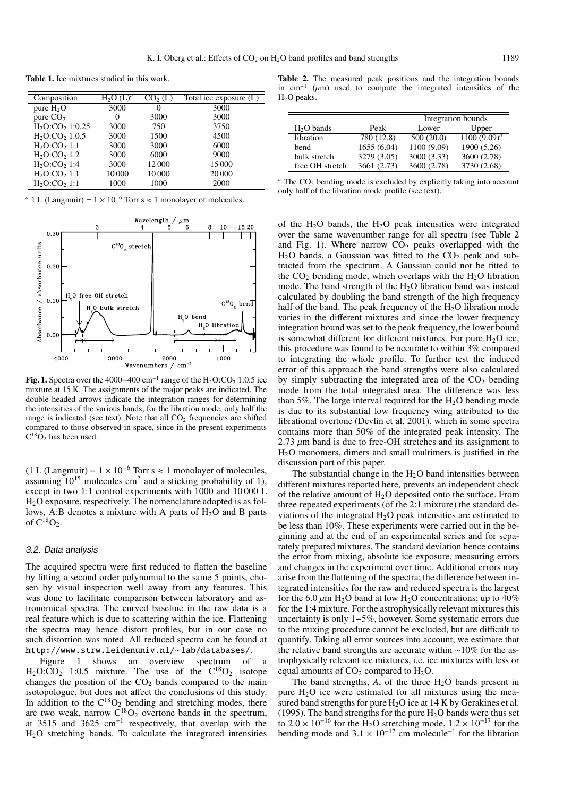**Table 1.** Ice mixtures studied in this work.

| Composition                          | $H_2O(L)^a$ | CO <sub>2</sub> (L) | Total ice exposure (L) |
|--------------------------------------|-------------|---------------------|------------------------|
| pure $H_2O$                          | 3000        | $\theta$            | 3000                   |
| pure $CO2$                           | $\theta$    | 3000                | 3000                   |
| $H_2O:CO_2 1:0.25$                   | 3000        | 750                 | 3750                   |
| $H2O$ :CO <sub>2</sub> 1:0.5         | 3000        | 1500                | 4500                   |
| H <sub>2</sub> O:CO <sub>2</sub> 1:1 | 3000        | 3000                | 6000                   |
| $H_2O:CO21:2$                        | 3000        | 6000                | 9000                   |
| H <sub>2</sub> O:CO <sub>2</sub> 1:4 | 3000        | 12000               | 15 000                 |
| H <sub>2</sub> O:CO <sub>2</sub> 1:1 | 10000       | 10000               | 20 000                 |
| H <sub>2</sub> O:CO <sub>2</sub> 1:1 | 1000        | 1000                | 2000                   |

<sup>*a*</sup> 1 L (Langmuir) =  $1 \times 10^{-6}$  Torr s  $\approx 1$  monolayer of molecules.



**Fig. 1.** Spectra over the 4000–400 cm<sup>-1</sup> range of the H<sub>2</sub>O:CO<sub>2</sub> 1:0.5 ice mixture at 15 K. The assignments of the major peaks are indicated. The double headed arrows indicate the integration ranges for determining the intensities of the various bands; for the libration mode, only half the range is indicated (see text). Note that all  $CO<sub>2</sub>$  frequencies are shifted compared to those observed in space, since in the present experiments  $C^{18}\overline{O}_2$  has been used.

(1 L (Langmuir) =  $1 \times 10^{-6}$  Torr s  $\approx 1$  monolayer of molecules, assuming  $10^{15}$  molecules cm<sup>2</sup> and a sticking probability of 1), except in two 1:1 control experiments with 1000 and 10 000 L H2O exposure, respectively. The nomenclature adopted is as follows, A:B denotes a mixture with A parts of  $H_2O$  and B parts of  $C^{18}O_2$ .

## 3.2. Data analysis

The acquired spectra were first reduced to flatten the baseline by fitting a second order polynomial to the same 5 points, chosen by visual inspection well away from any features. This was done to facilitate comparison between laboratory and astronomical spectra. The curved baseline in the raw data is a real feature which is due to scattering within the ice. Flattening the spectra may hence distort profiles, but in our case no such distortion was noted. All reduced spectra can be found at http://www.strw.leidenuniv.nl/∼lab/databases/.

shows an overview spectrum of  $H_2O:CO_2$  1:0.5 mixture. The use of the  $C^{18}O_2$  isotope changes the position of the  $CO<sub>2</sub>$  bands compared to the main isotopologue, but does not affect the conclusions of this study. In addition to the  $C^{18}O_2$  bending and stretching modes, there are two weak, narrow  $\overline{C}^{18}O_2$  overtone bands in the spectrum, at 3515 and 3625 cm−<sup>1</sup> respectively, that overlap with the H2O stretching bands. To calculate the integrated intensities

**Table 2.** The measured peak positions and the integration bounds in cm<sup>-1</sup> ( $\mu$ m) used to compute the integrated intensities of the H2O peaks.

|                 |             | Integration bounds |                 |  |
|-----------------|-------------|--------------------|-----------------|--|
| $H2O$ bands     | Peak        | Lower              | Upper           |  |
| libration       | 780 (12.8)  | 500(20.0)          | $1100 (9.09)^a$ |  |
| bend            | 1655 (6.04) | 1100 (9.09)        | 1900 (5.26)     |  |
| bulk stretch    | 3279 (3.05) | 3000 (3.33)        | 3600 (2.78)     |  |
| free OH stretch | 3661 (2.73) | 3600 (2.78)        | 3730 (2.68)     |  |

| $\alpha$ The CO <sub>2</sub> bending mode is excluded by explicitly taking into account |  |
|-----------------------------------------------------------------------------------------|--|
| only half of the libration mode profile (see text).                                     |  |

of the  $H_2O$  bands, the  $H_2O$  peak intensities were integrated over the same wavenumber range for all spectra (see Table 2 and Fig. 1). Where narrow  $CO<sub>2</sub>$  peaks overlapped with the  $H<sub>2</sub>O$  bands, a Gaussian was fitted to the  $CO<sub>2</sub>$  peak and subtracted from the spectrum. A Gaussian could not be fitted to the  $CO<sub>2</sub>$  bending mode, which overlaps with the  $H<sub>2</sub>O$  libration mode. The band strength of the  $H<sub>2</sub>O$  libration band was instead calculated by doubling the band strength of the high frequency half of the band. The peak frequency of the  $H_2O$  libration mode varies in the different mixtures and since the lower frequency integration bound was set to the peak frequency, the lower bound is somewhat different for different mixtures. For pure  $H<sub>2</sub>O$  ice, this procedure was found to be accurate to within 3% compared to integrating the whole profile. To further test the induced error of this approach the band strengths were also calculated by simply subtracting the integrated area of the  $CO<sub>2</sub>$  bending mode from the total integrated area. The difference was less than 5%. The large interval required for the  $H<sub>2</sub>O$  bending mode is due to its substantial low frequency wing attributed to the librational overtone (Devlin et al. 2001), which in some spectra contains more than 50% of the integrated peak intensity. The 2.73  $\mu$ m band is due to free-OH stretches and its assignment to H2O monomers, dimers and small multimers is justified in the discussion part of this paper.

The substantial change in the  $H<sub>2</sub>O$  band intensities between different mixtures reported here, prevents an independent check of the relative amount of  $H_2O$  deposited onto the surface. From three repeated experiments (of the 2:1 mixture) the standard deviations of the integrated  $H_2O$  peak intensities are estimated to be less than 10%. These experiments were carried out in the beginning and at the end of an experimental series and for separately prepared mixtures. The standard deviation hence contains the error from mixing, absolute ice exposure, measuring errors and changes in the experiment over time. Additional errors may arise from the flattening of the spectra; the difference between integrated intensities for the raw and reduced spectra is the largest for the 6.0  $\mu$ m H<sub>2</sub>O band at low H<sub>2</sub>O concentrations; up to 40% for the 1:4 mixture. For the astrophysically relevant mixtures this uncertainty is only 1−5%, however. Some systematic errors due to the mixing procedure cannot be excluded, but are difficult to quantify. Taking all error sources into account, we estimate that the relative band strengths are accurate within ∼10% for the astrophysically relevant ice mixtures, i.e. ice mixtures with less or equal amounts of  $CO<sub>2</sub>$  compared to  $H<sub>2</sub>O$ .

The band strengths,  $A$ , of the three  $H_2O$  bands present in pure  $H_2O$  ice were estimated for all mixtures using the measured band strengths for pure  $H_2O$  ice at 14 K by Gerakines et al. (1995). The band strengths for the pure  $H_2O$  bands were thus set to 2.0 × 10<sup>-16</sup> for the H<sub>2</sub>O stretching mode,  $1.2 \times 10^{-17}$  for the bending mode and  $3.1 \times 10^{-17}$  cm molecule<sup>-1</sup> for the libration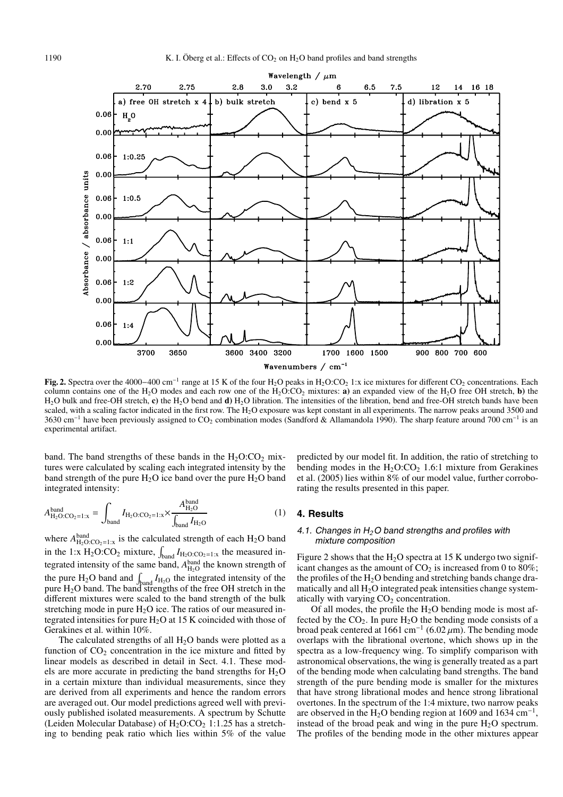

**Fig. 2.** Spectra over the 4000–400 cm<sup>-1</sup> range at 15 K of the four H<sub>2</sub>O peaks in H<sub>2</sub>O:CO<sub>2</sub> 1:x ice mixtures for different CO<sub>2</sub> concentrations. Each column contains one of the H<sub>2</sub>O modes and each row one of the  $H_2O:CO_2$  mixtures: **a**) an expanded view of the H<sub>2</sub>O free OH stretch, **b**) the H<sub>2</sub>O bulk and free-OH stretch, c) the H<sub>2</sub>O bend and **d**) H<sub>2</sub>O libration. The intensities of the libration, bend and free-OH stretch bands have been scaled, with a scaling factor indicated in the first row. The  $H_2O$  exposure was kept constant in all experiments. The narrow peaks around 3500 and 3630 cm<sup>-1</sup> have been previously assigned to CO<sub>2</sub> combination modes (Sandford & Allamandola 1990). The sharp feature around 700 cm<sup>-1</sup> is an experimental artifact.

band. The band strengths of these bands in the  $H_2O:CO_2$  mixtures were calculated by scaling each integrated intensity by the band strength of the pure  $H_2O$  ice band over the pure  $H_2O$  band integrated intensity:

$$
A_{\text{H}_2\text{O}:CO_2=1:x}^{\text{band}} = \int_{\text{band}} I_{\text{H}_2\text{O}:CO_2=1:x} \times \frac{A_{\text{H}_2\text{O}}^{\text{band}}}{\int_{\text{band}} I_{\text{H}_2\text{O}}} \tag{1}
$$

where  $A_{\text{H}_2\text{O}:CO_2=1:x}^{\text{band}}$  is the calculated strength of each  $\text{H}_2\text{O}$  band in the 1:x  $H_2O:CO_2$  mixture,  $\int_{band} I_{H_2O:CO_2=1:x}$  the measured integrated intensity of the same band,  $A_{\text{H}_2\text{O}}^{\text{band}}$  the known strength of the pure H<sub>2</sub>O band and  $\int_{\text{band}} I_{\text{H}_2\text{O}}$  the integrated intensity of the pure H<sub>2</sub>O band. The band strengths of the free OH stretch in the different mixtures were scaled to the band strength of the bulk stretching mode in pure  $H_2O$  ice. The ratios of our measured integrated intensities for pure H2O at 15 K coincided with those of Gerakines et al. within 10%.

The calculated strengths of all  $H_2O$  bands were plotted as a function of  $CO<sub>2</sub>$  concentration in the ice mixture and fitted by linear models as described in detail in Sect. 4.1. These models are more accurate in predicting the band strengths for  $H_2O$ in a certain mixture than individual measurements, since they are derived from all experiments and hence the random errors are averaged out. Our model predictions agreed well with previously published isolated measurements. A spectrum by Schutte (Leiden Molecular Database) of  $H_2O:CO_2$  1:1.25 has a stretching to bending peak ratio which lies within 5% of the value predicted by our model fit. In addition, the ratio of stretching to bending modes in the  $H_2O:CO_2$  1.6:1 mixture from Gerakines et al. (2005) lies within 8% of our model value, further corroborating the results presented in this paper.

# **4. Results**

#### 4.1. Changes in <sup>H</sup>*2*O band strengths and profiles with mixture composition

Figure 2 shows that the  $H_2O$  spectra at 15 K undergo two significant changes as the amount of  $CO<sub>2</sub>$  is increased from 0 to 80%; the profiles of the  $H_2O$  bending and stretching bands change dramatically and all  $H_2O$  integrated peak intensities change systematically with varying  $CO<sub>2</sub>$  concentration.

Of all modes, the profile the  $H<sub>2</sub>O$  bending mode is most affected by the  $CO<sub>2</sub>$ . In pure  $H<sub>2</sub>O$  the bending mode consists of a broad peak centered at 1661 cm<sup>-1</sup> (6.02  $\mu$ m). The bending mode overlaps with the librational overtone, which shows up in the spectra as a low-frequency wing. To simplify comparison with astronomical observations, the wing is generally treated as a part of the bending mode when calculating band strengths. The band strength of the pure bending mode is smaller for the mixtures that have strong librational modes and hence strong librational overtones. In the spectrum of the 1:4 mixture, two narrow peaks are observed in the H<sub>2</sub>O bending region at 1609 and 1634 cm<sup>-1</sup>, instead of the broad peak and wing in the pure  $H_2O$  spectrum. The profiles of the bending mode in the other mixtures appear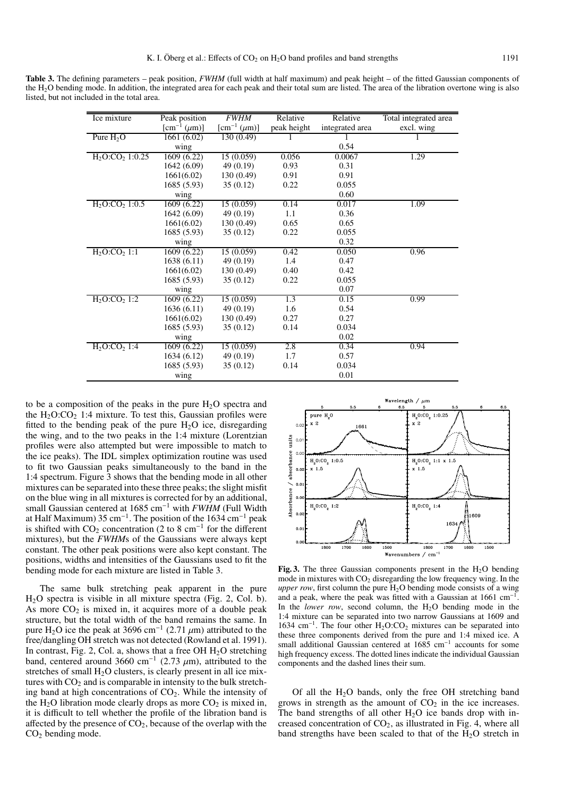**Table 3.** The defining parameters – peak position, *FWHM* (full width at half maximum) and peak height – of the fitted Gaussian components of the H2O bending mode. In addition, the integrated area for each peak and their total sum are listed. The area of the libration overtone wing is also listed, but not included in the total area.

| Ice mixture                            | Peak position                                           | <b>FWHM</b>                                             | Relative    | Relative        | Total integrated area |
|----------------------------------------|---------------------------------------------------------|---------------------------------------------------------|-------------|-----------------|-----------------------|
|                                        | $\left[\text{cm}^{-1} \left(\mu \text{m}\right)\right]$ | $\left[\text{cm}^{-1} \left(\mu \text{m}\right)\right]$ | peak height | integrated area | excl. wing            |
| Pure $H_2O$                            | 1661 (6.02)                                             | 130(0.49)                                               |             |                 |                       |
|                                        | wing                                                    |                                                         |             | 0.54            |                       |
| $H_2O:CO_2 1:0.25$                     | 1609(6.22)                                              | 15(0.059)                                               | 0.056       | 0.0067          | 1.29                  |
|                                        | 1642 (6.09)                                             | 49(0.19)                                                | 0.93        | 0.31            |                       |
|                                        | 1661(6.02)                                              | 130(0.49)                                               | 0.91        | 0.91            |                       |
|                                        | 1685 (5.93)                                             | 35(0.12)                                                | 0.22        | 0.055           |                       |
|                                        | wing                                                    |                                                         |             | 0.60            |                       |
| H <sub>2</sub> O:CO <sub>2</sub> 1:0.5 | 1609(6.22)                                              | 15(0.059)                                               | 0.14        | 0.017           | 1.09                  |
|                                        | 1642 (6.09)                                             | 49(0.19)                                                | 1.1         | 0.36            |                       |
|                                        | 1661(6.02)                                              | 130 (0.49)                                              | 0.65        | 0.65            |                       |
|                                        | 1685 (5.93)                                             | 35(0.12)                                                | 0.22        | 0.055           |                       |
|                                        | wing                                                    |                                                         |             | 0.32            |                       |
| $H_2O:CO_2 1:1$                        | 1609 (6.22)                                             | 15(0.059)                                               | 0.42        | 0.050           | 0.96                  |
|                                        | 1638 (6.11)                                             | 49 (0.19)                                               | 1.4         | 0.47            |                       |
|                                        | 1661(6.02)                                              | 130(0.49)                                               | 0.40        | 0.42            |                       |
|                                        | 1685 (5.93)                                             | 35(0.12)                                                | 0.22        | 0.055           |                       |
|                                        | wing                                                    |                                                         |             | 0.07            |                       |
| H <sub>2</sub> O:CO <sub>2</sub> 1:2   | 1609 (6.22)                                             | 15(0.059)                                               | 1.3         | 0.15            | 0.99                  |
|                                        | 1636(6.11)                                              | 49(0.19)                                                | 1.6         | 0.54            |                       |
|                                        | 1661(6.02)                                              | 130 (0.49)                                              | 0.27        | 0.27            |                       |
|                                        | 1685 (5.93)                                             | 35(0.12)                                                | 0.14        | 0.034           |                       |
|                                        | wing                                                    |                                                         |             | 0.02            |                       |
| H <sub>2</sub> O:CO <sub>2</sub> 1:4   | 1609(6.22)                                              | 15(0.059)                                               | 2.8         | 0.34            | 0.94                  |
|                                        | 1634 (6.12)                                             | 49 (0.19)                                               | 1.7         | 0.57            |                       |
|                                        | 1685 (5.93)                                             | 35(0.12)                                                | 0.14        | 0.034           |                       |
|                                        | wing                                                    |                                                         |             | 0.01            |                       |

to be a composition of the peaks in the pure  $H_2O$  spectra and the  $H_2O:CO_2$  1:4 mixture. To test this, Gaussian profiles were fitted to the bending peak of the pure  $H_2O$  ice, disregarding the wing, and to the two peaks in the 1:4 mixture (Lorentzian profiles were also attempted but were impossible to match to the ice peaks). The IDL simplex optimization routine was used to fit two Gaussian peaks simultaneously to the band in the 1:4 spectrum. Figure 3 shows that the bending mode in all other mixtures can be separated into these three peaks; the slight misfit on the blue wing in all mixtures is corrected for by an additional, small Gaussian centered at 1685 cm−<sup>1</sup> with *FWHM* (Full Width at Half Maximum) 35 cm−1. The position of the 1634 cm−<sup>1</sup> peak is shifted with  $CO_2$  concentration (2 to 8 cm<sup>-1</sup> for the different mixtures), but the *FWHM*s of the Gaussians were always kept constant. The other peak positions were also kept constant. The positions, widths and intensities of the Gaussians used to fit the bending mode for each mixture are listed in Table 3.

The same bulk stretching peak apparent in the pure H2O spectra is visible in all mixture spectra (Fig. 2, Col. b). As more  $CO<sub>2</sub>$  is mixed in, it acquires more of a double peak structure, but the total width of the band remains the same. In pure H<sub>2</sub>O ice the peak at 3696 cm<sup>-1</sup> (2.71  $\mu$ m) attributed to the free/dangling OH stretch was not detected (Rowland et al. 1991). In contrast, Fig. 2, Col. a, shows that a free OH  $H_2O$  stretching band, centered around 3660 cm<sup>-1</sup> (2.73  $\mu$ m), attributed to the stretches of small  $H<sub>2</sub>O$  clusters, is clearly present in all ice mixtures with  $CO<sub>2</sub>$  and is comparable in intensity to the bulk stretching band at high concentrations of  $CO<sub>2</sub>$ . While the intensity of the H<sub>2</sub>O libration mode clearly drops as more  $CO<sub>2</sub>$  is mixed in, it is difficult to tell whether the profile of the libration band is affected by the presence of  $CO<sub>2</sub>$ , because of the overlap with the  $CO<sub>2</sub>$  bending mode.



Fig. 3. The three Gaussian components present in the H<sub>2</sub>O bending mode in mixtures with  $CO<sub>2</sub>$  disregarding the low frequency wing. In the *upper row*, first column the pure  $H_2O$  bending mode consists of a wing and a peak, where the peak was fitted with a Gaussian at 1661 cm−1. In the *lower row*, second column, the  $H_2O$  bending mode in the 1:4 mixture can be separated into two narrow Gaussians at 1609 and 1634 cm−1. The four other H2O:CO2 mixtures can be separated into these three components derived from the pure and 1:4 mixed ice. A small additional Gaussian centered at 1685 cm<sup>-1</sup> accounts for some high frequency excess. The dotted lines indicate the individual Gaussian components and the dashed lines their sum.

Of all the  $H_2O$  bands, only the free OH stretching band grows in strength as the amount of  $CO<sub>2</sub>$  in the ice increases. The band strengths of all other  $H_2O$  ice bands drop with increased concentration of  $CO<sub>2</sub>$ , as illustrated in Fig. 4, where all band strengths have been scaled to that of the  $H_2O$  stretch in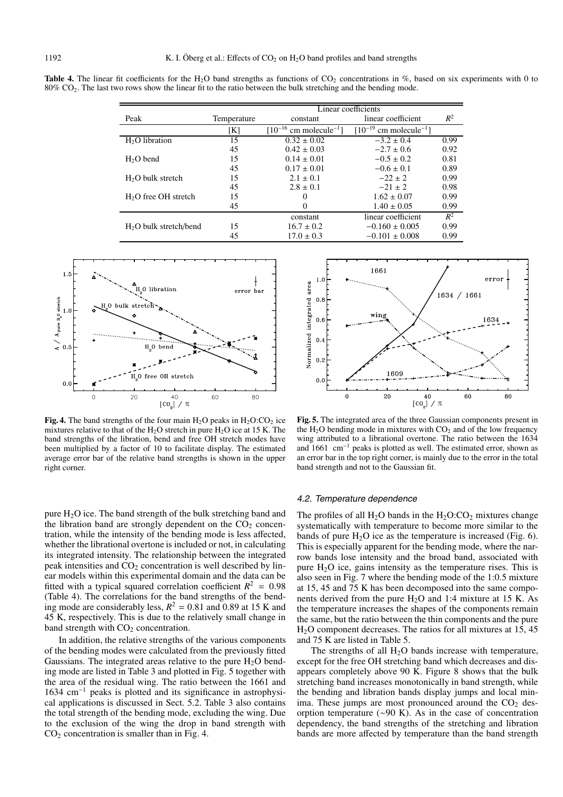**Table 4.** The linear fit coefficients for the H<sub>2</sub>O band strengths as functions of  $CO_2$  concentrations in %, based on six experiments with 0 to 80% CO2. The last two rows show the linear fit to the ratio between the bulk stretching and the bending mode.

|                         | Linear coefficients |                                         |                                         |       |
|-------------------------|---------------------|-----------------------------------------|-----------------------------------------|-------|
| Peak                    | Temperature         | constant                                | linear coefficient                      | $R^2$ |
|                         | [K]                 | $[10^{-16}$ cm molecule <sup>-1</sup> ] | $[10^{-19}$ cm molecule <sup>-1</sup> ] |       |
| $H2O$ libration         | 15                  | $0.32 \pm 0.02$                         | $-3.2 \pm 0.4$                          | 0.99  |
|                         | 45                  | $0.42 \pm 0.03$                         | $-2.7 \pm 0.6$                          | 0.92  |
| $H2O$ bend              | 15                  | $0.14 \pm 0.01$                         | $-0.5 \pm 0.2$                          | 0.81  |
|                         | 45                  | $0.17 \pm 0.01$                         | $-0.6 \pm 0.1$                          | 0.89  |
| $H2O$ bulk stretch      | 15                  | $2.1 \pm 0.1$                           | $-22 \pm 2$                             | 0.99  |
|                         | 45                  | $2.8 \pm 0.1$                           | $-21 \pm 2$                             | 0.98  |
| $H2O$ free OH stretch   | 15                  | 0                                       | $1.62 \pm 0.07$                         | 0.99  |
|                         | 45                  | $\mathbf{0}$                            | $1.40 \pm 0.05$                         | 0.99  |
|                         |                     | constant                                | linear coefficient                      | $R^2$ |
| $H2O$ bulk stretch/bend | 15                  | $16.7 \pm 0.2$                          | $-0.160 \pm 0.005$                      | 0.99  |
|                         | 45                  | $17.0 \pm 0.3$                          | $-0.101 \pm 0.008$                      | 0.99  |



**Fig. 4.** The band strengths of the four main  $H_2O$  peaks in  $H_2O:CO_2$  ice mixtures relative to that of the  $H_2O$  stretch in pure  $H_2O$  ice at 15 K. The band strengths of the libration, bend and free OH stretch modes have been multiplied by a factor of 10 to facilitate display. The estimated average error bar of the relative band strengths is shown in the upper right corner.

pure  $H_2O$  ice. The band strength of the bulk stretching band and the libration band are strongly dependent on the  $CO<sub>2</sub>$  concentration, while the intensity of the bending mode is less affected, whether the librational overtone is included or not, in calculating its integrated intensity. The relationship between the integrated peak intensities and  $CO<sub>2</sub>$  concentration is well described by linear models within this experimental domain and the data can be fitted with a typical squared correlation coefficient  $R^2 = 0.98$ (Table 4). The correlations for the band strengths of the bending mode are considerably less,  $R^2 = 0.81$  and 0.89 at 15 K and 45 K, respectively. This is due to the relatively small change in band strength with  $CO<sub>2</sub>$  concentration.

In addition, the relative strengths of the various components of the bending modes were calculated from the previously fitted Gaussians. The integrated areas relative to the pure  $H<sub>2</sub>O$  bending mode are listed in Table 3 and plotted in Fig. 5 together with the area of the residual wing. The ratio between the 1661 and 1634 cm−<sup>1</sup> peaks is plotted and its significance in astrophysical applications is discussed in Sect. 5.2. Table 3 also contains the total strength of the bending mode, excluding the wing. Due to the exclusion of the wing the drop in band strength with  $CO<sub>2</sub>$  concentration is smaller than in Fig. 4.



**Fig. 5.** The integrated area of the three Gaussian components present in the  $H_2O$  bending mode in mixtures with  $CO_2$  and of the low frequency wing attributed to a librational overtone. The ratio between the 1634 and 1661 cm−<sup>1</sup> peaks is plotted as well. The estimated error, shown as an error bar in the top right corner, is mainly due to the error in the total band strength and not to the Gaussian fit.

#### 4.2. Temperature dependence

The profiles of all  $H_2O$  bands in the  $H_2O:CO_2$  mixtures change systematically with temperature to become more similar to the bands of pure  $H_2O$  ice as the temperature is increased (Fig. 6). This is especially apparent for the bending mode, where the narrow bands lose intensity and the broad band, associated with pure  $H_2O$  ice, gains intensity as the temperature rises. This is also seen in Fig. 7 where the bending mode of the 1:0.5 mixture at 15, 45 and 75 K has been decomposed into the same components derived from the pure  $H<sub>2</sub>O$  and 1:4 mixture at 15 K. As the temperature increases the shapes of the components remain the same, but the ratio between the thin components and the pure  $H<sub>2</sub>O$  component decreases. The ratios for all mixtures at 15, 45 and 75 K are listed in Table 5.

The strengths of all  $H<sub>2</sub>O$  bands increase with temperature, except for the free OH stretching band which decreases and disappears completely above 90 K. Figure 8 shows that the bulk stretching band increases monotonically in band strength, while the bending and libration bands display jumps and local minima. These jumps are most pronounced around the  $CO<sub>2</sub>$  desorption temperature (∼90 K). As in the case of concentration dependency, the band strengths of the stretching and libration bands are more affected by temperature than the band strength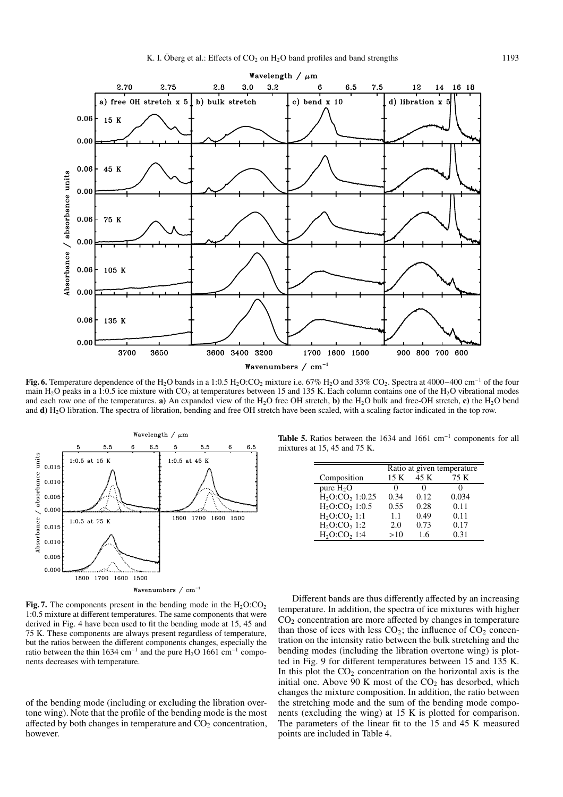

**Fig. 6.** Temperature dependence of the H<sub>2</sub>O bands in a 1:0.5 H<sub>2</sub>O:CO<sub>2</sub> mixture i.e. 67% H<sub>2</sub>O and 33% CO<sub>2</sub>. Spectra at 4000−400 cm<sup>-1</sup> of the four main H<sub>2</sub>O peaks in a 1:0.5 ice mixture with CO<sub>2</sub> at temperatures between 15 and 135 K. Each column contains one of the H<sub>2</sub>O vibrational modes and each row one of the temperatures. **a**) An expanded view of the H<sub>2</sub>O free OH stretch, **b**) the H<sub>2</sub>O bulk and free-OH stretch, **c**) the H<sub>2</sub>O bend and **d)** H2O libration. The spectra of libration, bending and free OH stretch have been scaled, with a scaling factor indicated in the top row.



**Fig. 7.** The components present in the bending mode in the  $H_2O:CO_2$ 1:0.5 mixture at different temperatures. The same components that were derived in Fig. 4 have been used to fit the bending mode at 15, 45 and 75 K. These components are always present regardless of temperature, but the ratios between the different components changes, especially the ratio between the thin 1634 cm<sup>-1</sup> and the pure H<sub>2</sub>O 1661 cm<sup>-1</sup> components decreases with temperature.

of the bending mode (including or excluding the libration overtone wing). Note that the profile of the bending mode is the most affected by both changes in temperature and  $CO<sub>2</sub>$  concentration, however.

**Table 5.** Ratios between the 1634 and 1661 cm−<sup>1</sup> components for all mixtures at 15, 45 and 75 K.

|                                      | Ratio at given temperature |      |       |  |  |
|--------------------------------------|----------------------------|------|-------|--|--|
| Composition                          | 15 K                       | 45 K | 75 K  |  |  |
| pure $H_2O$                          | $^{\circ}$                 | 0    |       |  |  |
| $H_2O:CO2 1:0.25$                    | 0.34                       | 0.12 | 0.034 |  |  |
| $H_2O:CO_2 1:0.5$                    | 0.55                       | 0.28 | 0.11  |  |  |
| $H_2O:CO2 1:1$                       | 1.1                        | 0.49 | 0.11  |  |  |
| H <sub>2</sub> O:CO <sub>2</sub> 1:2 | 2.0                        | 0.73 | 0.17  |  |  |
| $H_2O:CO21:4$                        | >10                        | 16   | 0.31  |  |  |

Different bands are thus differently affected by an increasing temperature. In addition, the spectra of ice mixtures with higher  $CO<sub>2</sub>$  concentration are more affected by changes in temperature than those of ices with less  $CO_2$ ; the influence of  $CO_2$  concentration on the intensity ratio between the bulk stretching and the bending modes (including the libration overtone wing) is plotted in Fig. 9 for different temperatures between 15 and 135 K. In this plot the  $CO<sub>2</sub>$  concentration on the horizontal axis is the initial one. Above 90 K most of the  $CO<sub>2</sub>$  has desorbed, which changes the mixture composition. In addition, the ratio between the stretching mode and the sum of the bending mode components (excluding the wing) at 15 K is plotted for comparison. The parameters of the linear fit to the 15 and 45 K measured points are included in Table 4.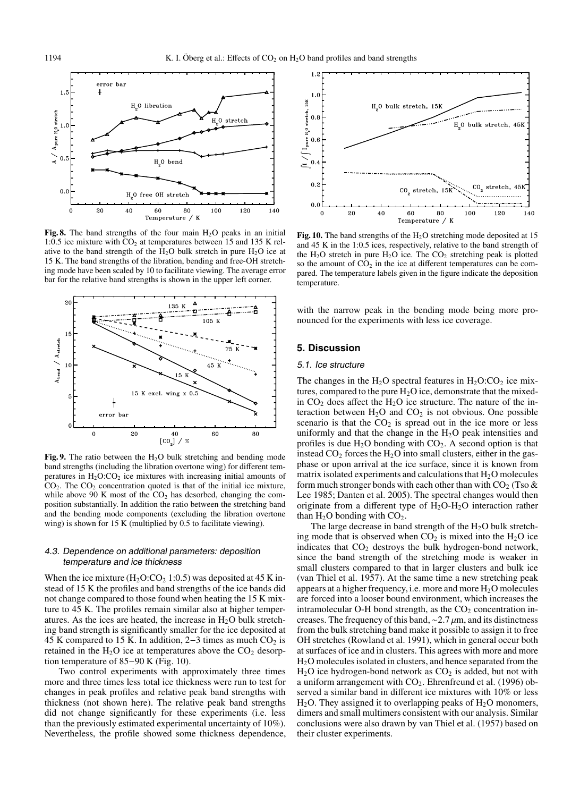

Fig. 8. The band strengths of the four main  $H_2O$  peaks in an initial 1:0.5 ice mixture with  $CO<sub>2</sub>$  at temperatures between 15 and 135 K relative to the band strength of the  $H_2O$  bulk stretch in pure  $H_2O$  ice at 15 K. The band strengths of the libration, bending and free-OH stretching mode have been scaled by 10 to facilitate viewing. The average error bar for the relative band strengths is shown in the upper left corner.



**Fig. 9.** The ratio between the  $H_2O$  bulk stretching and bending mode band strengths (including the libration overtone wing) for different temperatures in  $H_2O:CO_2$  ice mixtures with increasing initial amounts of  $CO<sub>2</sub>$ . The  $CO<sub>2</sub>$  concentration quoted is that of the initial ice mixture, while above 90 K most of the  $CO<sub>2</sub>$  has desorbed, changing the composition substantially. In addition the ratio between the stretching band and the bending mode components (excluding the libration overtone wing) is shown for 15 K (multiplied by 0.5 to facilitate viewing).

## 4.3. Dependence on additional parameters: deposition temperature and ice thickness

When the ice mixture  $(H_2O:CO_2 1:0.5)$  was deposited at 45 K instead of 15 K the profiles and band strengths of the ice bands did not change compared to those found when heating the 15 K mixture to 45 K. The profiles remain similar also at higher temperatures. As the ices are heated, the increase in  $H<sub>2</sub>O$  bulk stretching band strength is significantly smaller for the ice deposited at 45 K compared to 15 K. In addition,  $2-3$  times as much  $CO<sub>2</sub>$  is retained in the  $H_2O$  ice at temperatures above the  $CO_2$  desorption temperature of 85−90 K (Fig. 10).

Two control experiments with approximately three times more and three times less total ice thickness were run to test for changes in peak profiles and relative peak band strengths with thickness (not shown here). The relative peak band strengths did not change significantly for these experiments (i.e. less than the previously estimated experimental uncertainty of 10%). Nevertheless, the profile showed some thickness dependence,

![](_page_7_Figure_9.jpeg)

**Fig. 10.** The band strengths of the  $H_2O$  stretching mode deposited at 15 and 45 K in the 1:0.5 ices, respectively, relative to the band strength of the  $H_2O$  stretch in pure  $H_2O$  ice. The  $CO_2$  stretching peak is plotted so the amount of  $CO<sub>2</sub>$  in the ice at different temperatures can be compared. The temperature labels given in the figure indicate the deposition temperature.

with the narrow peak in the bending mode being more pronounced for the experiments with less ice coverage.

# **5. Discussion**

#### 5.1. Ice structure

The changes in the  $H_2O$  spectral features in  $H_2O:CO_2$  ice mixtures, compared to the pure  $H_2O$  ice, demonstrate that the mixedin  $CO<sub>2</sub>$  does affect the H<sub>2</sub>O ice structure. The nature of the interaction between  $H_2O$  and  $CO_2$  is not obvious. One possible scenario is that the  $CO<sub>2</sub>$  is spread out in the ice more or less uniformly and that the change in the  $H<sub>2</sub>O$  peak intensities and profiles is due  $H_2O$  bonding with  $CO<sub>2</sub>$ . A second option is that instead  $CO<sub>2</sub>$  forces the H<sub>2</sub>O into small clusters, either in the gasphase or upon arrival at the ice surface, since it is known from matrix isolated experiments and calculations that  $H_2O$  molecules form much stronger bonds with each other than with  $CO<sub>2</sub>$  (Tso  $\&$ Lee 1985; Danten et al. 2005). The spectral changes would then originate from a different type of  $H_2O-H_2O$  interaction rather than  $H_2O$  bonding with  $CO_2$ .

The large decrease in band strength of the  $H<sub>2</sub>O$  bulk stretching mode that is observed when  $CO<sub>2</sub>$  is mixed into the  $H<sub>2</sub>O$  ice indicates that  $CO<sub>2</sub>$  destroys the bulk hydrogen-bond network, since the band strength of the stretching mode is weaker in small clusters compared to that in larger clusters and bulk ice (van Thiel et al. 1957). At the same time a new stretching peak appears at a higher frequency, i.e. more and more  $H_2O$  molecules are forced into a looser bound environment, which increases the intramolecular O-H bond strength, as the  $CO<sub>2</sub>$  concentration increases. The frequency of this band,  $\sim$ 2.7 µm, and its distinctness from the bulk stretching band make it possible to assign it to free OH stretches (Rowland et al. 1991), which in general occur both at surfaces of ice and in clusters. This agrees with more and more H2O molecules isolated in clusters, and hence separated from the  $H<sub>2</sub>O$  ice hydrogen-bond network as  $CO<sub>2</sub>$  is added, but not with a uniform arrangement with  $CO<sub>2</sub>$ . Ehrenfreund et al. (1996) observed a similar band in different ice mixtures with 10% or less  $H<sub>2</sub>O$ . They assigned it to overlapping peaks of  $H<sub>2</sub>O$  monomers, dimers and small multimers consistent with our analysis. Similar conclusions were also drawn by van Thiel et al. (1957) based on their cluster experiments.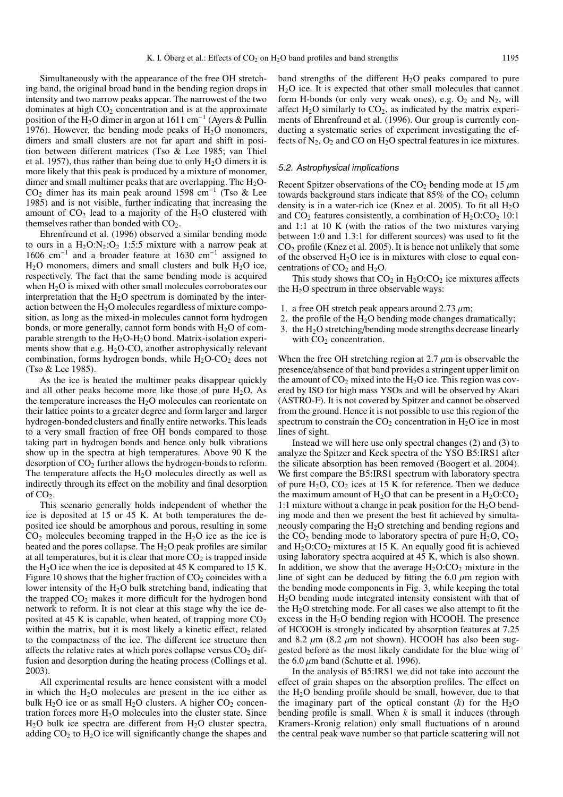Simultaneously with the appearance of the free OH stretching band, the original broad band in the bending region drops in intensity and two narrow peaks appear. The narrowest of the two dominates at high  $CO<sub>2</sub>$  concentration and is at the approximate position of the H<sub>2</sub>O dimer in argon at 1611 cm<sup>-1</sup> (Ayers & Pullin 1976). However, the bending mode peaks of  $H<sub>2</sub>O$  monomers, dimers and small clusters are not far apart and shift in position between different matrices (Tso & Lee 1985; van Thiel et al. 1957), thus rather than being due to only  $H_2O$  dimers it is more likely that this peak is produced by a mixture of monomer, dimer and small multimer peaks that are overlapping. The  $H<sub>2</sub>O-$ CO2 dimer has its main peak around 1598 cm−<sup>1</sup> (Tso & Lee 1985) and is not visible, further indicating that increasing the amount of  $CO<sub>2</sub>$  lead to a majority of the  $H<sub>2</sub>O$  clustered with themselves rather than bonded with  $CO<sub>2</sub>$ .

Ehrenfreund et al. (1996) observed a similar bending mode to ours in a  $H_2O:N_2:O_2$  1:5:5 mixture with a narrow peak at 1606 cm−<sup>1</sup> and a broader feature at 1630 cm−<sup>1</sup> assigned to  $H<sub>2</sub>O$  monomers, dimers and small clusters and bulk  $H<sub>2</sub>O$  ice, respectively. The fact that the same bending mode is acquired when  $H_2O$  is mixed with other small molecules corroborates our interpretation that the  $H_2O$  spectrum is dominated by the interaction between the  $H_2O$  molecules regardless of mixture composition, as long as the mixed-in molecules cannot form hydrogen bonds, or more generally, cannot form bonds with  $H_2O$  of comparable strength to the  $H_2O-H_2O$  bond. Matrix-isolation experiments show that e.g.  $H_2O$ -CO, another astrophysically relevant combination, forms hydrogen bonds, while  $H_2O-CO_2$  does not (Tso & Lee 1985).

As the ice is heated the multimer peaks disappear quickly and all other peaks become more like those of pure  $H_2O$ . As the temperature increases the  $H<sub>2</sub>O$  molecules can reorientate on their lattice points to a greater degree and form larger and larger hydrogen-bonded clusters and finally entire networks. This leads to a very small fraction of free OH bonds compared to those taking part in hydrogen bonds and hence only bulk vibrations show up in the spectra at high temperatures. Above 90 K the desorption of  $CO<sub>2</sub>$  further allows the hydrogen-bonds to reform. The temperature affects the  $H<sub>2</sub>O$  molecules directly as well as indirectly through its effect on the mobility and final desorption of CO2.

This scenario generally holds independent of whether the ice is deposited at 15 or 45 K. At both temperatures the deposited ice should be amorphous and porous, resulting in some  $CO<sub>2</sub>$  molecules becoming trapped in the H<sub>2</sub>O ice as the ice is heated and the pores collapse. The  $H_2O$  peak profiles are similar at all temperatures, but it is clear that more  $CO<sub>2</sub>$  is trapped inside the  $H_2O$  ice when the ice is deposited at 45 K compared to 15 K. Figure 10 shows that the higher fraction of  $CO<sub>2</sub>$  coincides with a lower intensity of the  $H_2O$  bulk stretching band, indicating that the trapped  $CO<sub>2</sub>$  makes it more difficult for the hydrogen bond network to reform. It is not clear at this stage why the ice deposited at 45 K is capable, when heated, of trapping more  $CO<sub>2</sub>$ within the matrix, but it is most likely a kinetic effect, related to the compactness of the ice. The different ice structure then affects the relative rates at which pores collapse versus  $CO<sub>2</sub>$  diffusion and desorption during the heating process (Collings et al. 2003).

All experimental results are hence consistent with a model in which the  $H_2O$  molecules are present in the ice either as bulk  $H_2O$  ice or as small  $H_2O$  clusters. A higher  $CO_2$  concentration forces more  $H_2O$  molecules into the cluster state. Since  $H<sub>2</sub>O$  bulk ice spectra are different from  $H<sub>2</sub>O$  cluster spectra, adding  $CO<sub>2</sub>$  to  $H<sub>2</sub>O$  ice will significantly change the shapes and

band strengths of the different  $H_2O$  peaks compared to pure H2O ice. It is expected that other small molecules that cannot form H-bonds (or only very weak ones), e.g.  $O_2$  and  $N_2$ , will affect  $H_2O$  similarly to  $CO<sub>2</sub>$ , as indicated by the matrix experiments of Ehrenfreund et al. (1996). Our group is currently conducting a systematic series of experiment investigating the effects of  $N_2$ ,  $O_2$  and CO on  $H_2O$  spectral features in ice mixtures.

## 5.2. Astrophysical implications

Recent Spitzer observations of the  $CO<sub>2</sub>$  bending mode at 15  $\mu$ m towards background stars indicate that  $85\%$  of the  $CO<sub>2</sub>$  column density is in a water-rich ice (Knez et al. 2005). To fit all  $H_2O$ and  $CO<sub>2</sub>$  features consistently, a combination of  $H<sub>2</sub>O:CO<sub>2</sub>$  10:1 and 1:1 at 10 K (with the ratios of the two mixtures varying between 1:0 and 1.3:1 for different sources) was used to fit the  $CO<sub>2</sub>$  profile (Knez et al. 2005). It is hence not unlikely that some of the observed  $H_2O$  ice is in mixtures with close to equal concentrations of  $CO<sub>2</sub>$  and  $H<sub>2</sub>O$ .

This study shows that  $CO<sub>2</sub>$  in H<sub>2</sub>O:CO<sub>2</sub> ice mixtures affects the  $H_2O$  spectrum in three observable ways:

- 1. a free OH stretch peak appears around 2.73  $\mu$ m;
- 2. the profile of the  $H_2O$  bending mode changes dramatically;
- 3. the  $H_2O$  stretching/bending mode strengths decrease linearly with  $CO<sub>2</sub>$  concentration.

When the free OH stretching region at  $2.7 \mu m$  is observable the presence/absence of that band provides a stringent upper limit on the amount of  $CO<sub>2</sub>$  mixed into the H<sub>2</sub>O ice. This region was covered by ISO for high mass YSOs and will be observed by Akari (ASTRO-F). It is not covered by Spitzer and cannot be observed from the ground. Hence it is not possible to use this region of the spectrum to constrain the  $CO<sub>2</sub>$  concentration in  $H<sub>2</sub>O$  ice in most lines of sight.

Instead we will here use only spectral changes (2) and (3) to analyze the Spitzer and Keck spectra of the YSO B5:IRS1 after the silicate absorption has been removed (Boogert et al. 2004). We first compare the B5:IRS1 spectrum with laboratory spectra of pure  $H_2O$ ,  $CO_2$  ices at 15 K for reference. Then we deduce the maximum amount of  $H_2O$  that can be present in a  $H_2O:CO_2$ 1:1 mixture without a change in peak position for the  $H_2O$  bending mode and then we present the best fit achieved by simultaneously comparing the  $H_2O$  stretching and bending regions and the  $CO<sub>2</sub>$  bending mode to laboratory spectra of pure  $H<sub>2</sub>O$ ,  $CO<sub>2</sub>$ and  $H_2O:CO_2$  mixtures at 15 K. An equally good fit is achieved using laboratory spectra acquired at 45 K, which is also shown. In addition, we show that the average  $H_2O:CO_2$  mixture in the line of sight can be deduced by fitting the 6.0  $\mu$ m region with the bending mode components in Fig. 3, while keeping the total H2O bending mode integrated intensity consistent with that of the  $H_2O$  stretching mode. For all cases we also attempt to fit the excess in the  $H<sub>2</sub>O$  bending region with HCOOH. The presence of HCOOH is strongly indicated by absorption features at 7.25 and 8.2  $\mu$ m (8.2  $\mu$ m not shown). HCOOH has also been suggested before as the most likely candidate for the blue wing of the  $6.0 \mu m$  band (Schutte et al. 1996).

In the analysis of B5:IRS1 we did not take into account the effect of grain shapes on the absorption profiles. The effect on the H2O bending profile should be small, however, due to that the imaginary part of the optical constant  $(k)$  for the H<sub>2</sub>O bending profile is small. When *k* is small it induces (through Kramers-Kronig relation) only small fluctuations of n around the central peak wave number so that particle scattering will not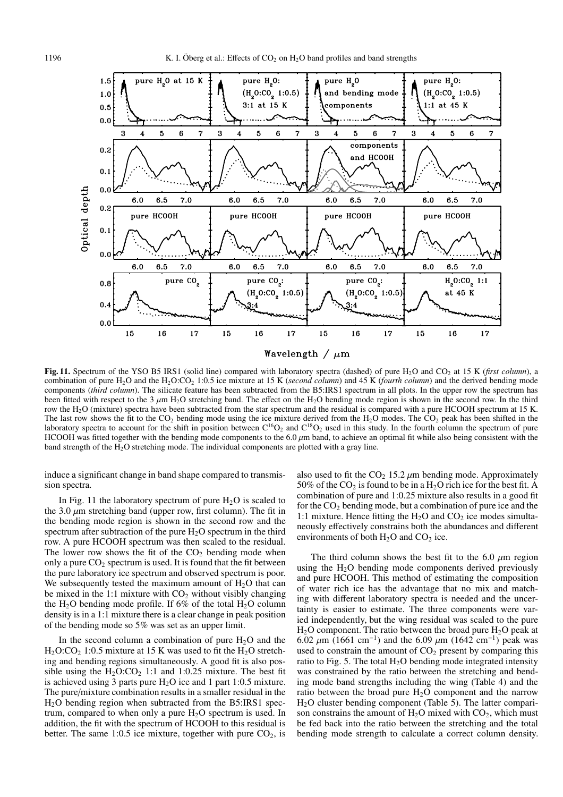![](_page_9_Figure_2.jpeg)

Fig. 11. Spectrum of the YSO B5 IRS1 (solid line) compared with laboratory spectra (dashed) of pure H<sub>2</sub>O and CO<sub>2</sub> at 15 K (*first column*), a combination of pure H2O and the H2O:CO2 1:0.5 ice mixture at 15 K (*second column*) and 45 K (*fourth column*) and the derived bending mode components (*third column*). The silicate feature has been subtracted from the B5:IRS1 spectrum in all plots. In the upper row the spectrum has been fitted with respect to the 3  $\mu$ m H<sub>2</sub>O stretching band. The effect on the H<sub>2</sub>O bending mode region is shown in the second row. In the third row the H<sub>2</sub>O (mixture) spectra have been subtracted from the star spectrum and the residual is compared with a pure HCOOH spectrum at 15 K. The last row shows the fit to the  $CO_2$  bending mode using the ice mixture derived from the  $H_2O$  modes. The  $CO_2$  peak has been shifted in the laboratory spectra to account for the shift in position between  $C^{16}O_2$  and  $C^{18}O_2$  used in this study. In the fourth column the spectrum of pure HCOOH was fitted together with the bending mode components to the 6.0  $\mu$ m band, to achieve an optimal fit while also being consistent with the band strength of the  $H_2O$  stretching mode. The individual components are plotted with a gray line.

induce a significant change in band shape compared to transmission spectra.

In Fig. 11 the laboratory spectrum of pure  $H_2O$  is scaled to the 3.0  $\mu$ m stretching band (upper row, first column). The fit in the bending mode region is shown in the second row and the spectrum after subtraction of the pure  $H_2O$  spectrum in the third row. A pure HCOOH spectrum was then scaled to the residual. The lower row shows the fit of the  $CO<sub>2</sub>$  bending mode when only a pure  $CO<sub>2</sub>$  spectrum is used. It is found that the fit between the pure laboratory ice spectrum and observed spectrum is poor. We subsequently tested the maximum amount of  $H_2O$  that can be mixed in the 1:1 mixture with  $CO<sub>2</sub>$  without visibly changing the H<sub>2</sub>O bending mode profile. If 6% of the total H<sub>2</sub>O column density is in a 1:1 mixture there is a clear change in peak position of the bending mode so 5% was set as an upper limit.

In the second column a combination of pure  $H<sub>2</sub>O$  and the  $H<sub>2</sub>O:CO<sub>2</sub> 1:0.5 mixture at 15 K was used to fit the  $H<sub>2</sub>O$  stretch$ ing and bending regions simultaneously. A good fit is also possible using the  $H_2O:CO_2$  1:1 and 1:0.25 mixture. The best fit is achieved using 3 parts pure  $H_2O$  ice and 1 part 1:0.5 mixture. The pure/mixture combination results in a smaller residual in the H2O bending region when subtracted from the B5:IRS1 spectrum, compared to when only a pure  $H_2O$  spectrum is used. In addition, the fit with the spectrum of HCOOH to this residual is better. The same 1:0.5 ice mixture, together with pure  $CO<sub>2</sub>$ , is

also used to fit the  $CO<sub>2</sub> 15.2 \mu m$  bending mode. Approximately 50% of the  $CO_2$  is found to be in a H<sub>2</sub>O rich ice for the best fit. A combination of pure and 1:0.25 mixture also results in a good fit for the  $CO<sub>2</sub>$  bending mode, but a combination of pure ice and the 1:1 mixture. Hence fitting the  $H_2O$  and  $CO_2$  ice modes simultaneously effectively constrains both the abundances and different environments of both  $H_2O$  and  $CO_2$  ice.

The third column shows the best fit to the 6.0  $\mu$ m region using the  $H_2O$  bending mode components derived previously and pure HCOOH. This method of estimating the composition of water rich ice has the advantage that no mix and matching with different laboratory spectra is needed and the uncertainty is easier to estimate. The three components were varied independently, but the wing residual was scaled to the pure  $H<sub>2</sub>O$  component. The ratio between the broad pure  $H<sub>2</sub>O$  peak at 6.02  $\mu$ m (1661 cm<sup>-1</sup>) and the 6.09  $\mu$ m (1642 cm<sup>-1</sup>) peak was used to constrain the amount of  $CO<sub>2</sub>$  present by comparing this ratio to Fig. 5. The total  $H_2O$  bending mode integrated intensity was constrained by the ratio between the stretching and bending mode band strengths including the wing (Table 4) and the ratio between the broad pure  $H<sub>2</sub>O$  component and the narrow H2O cluster bending component (Table 5). The latter comparison constrains the amount of  $H_2O$  mixed with  $CO_2$ , which must be fed back into the ratio between the stretching and the total bending mode strength to calculate a correct column density.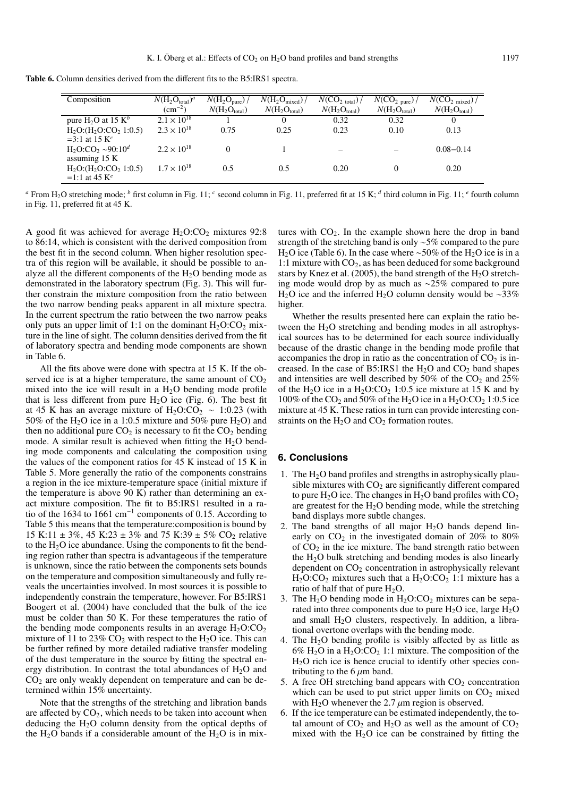**Table 6.** Column densities derived from the different fits to the B5:IRS1 spectra.

| Composition                      | $N(H_2O_{total})^a$  | $N(\mathrm{H}_2\mathrm{O}_{pure})$ | $N(H_2O_{mixed})$ | $N(CO_{2 \text{ total}})$ / | $N({\rm CO_2}_{pure})/$  | $N({\rm CO}_{2~{\rm mixed}})$ / |
|----------------------------------|----------------------|------------------------------------|-------------------|-----------------------------|--------------------------|---------------------------------|
|                                  | $\rm (cm^{-2})$      | $N(H_2O_{total})$                  | $N(H_2O_{total})$ | $N(H_2O_{total})$           | $N(H_2O_{\text{total}})$ | $N(H_2O_{total})$               |
| pure $H_2O$ at 15 $K^b$          | $2.1 \times 10^{18}$ |                                    |                   | 0.32                        | 0.32                     | 0                               |
| $H_2O$ : $(H_2O$ : $CO_2 1:0.5)$ | $2.3 \times 10^{18}$ | 0.75                               | 0.25              | 0.23                        | 0.10                     | 0.13                            |
| =3:1 at 15 $K^c$                 |                      |                                    |                   |                             |                          |                                 |
| $H_2O:CO_2 \sim 90:10^d$         | $2.2 \times 10^{18}$ |                                    |                   |                             |                          | $0.08 - 0.14$                   |
| assuming $15 K$                  |                      |                                    |                   |                             |                          |                                 |
| $H_2O$ : $(H_2O$ : $CO_2 1:0.5)$ | $1.7 \times 10^{18}$ | 0.5                                | 0.5               | 0.20                        |                          | 0.20                            |
| =1:1 at 45 $K^e$                 |                      |                                    |                   |                             |                          |                                 |

*a* From H<sub>2</sub>O stretching mode; *b* first column in Fig. 11; *c* second column in Fig. 11, preferred fit at 15 K; *d* third column in Fig. 11; *c* fourth column in Fig. 11, preferred fit at 45 K.

A good fit was achieved for average  $H_2O:CO_2$  mixtures 92:8 to 86:14, which is consistent with the derived composition from the best fit in the second column. When higher resolution spectra of this region will be available, it should be possible to analyze all the different components of the  $H_2O$  bending mode as demonstrated in the laboratory spectrum (Fig. 3). This will further constrain the mixture composition from the ratio between the two narrow bending peaks apparent in all mixture spectra. In the current spectrum the ratio between the two narrow peaks only puts an upper limit of 1:1 on the dominant  $H_2O:CO_2$  mixture in the line of sight. The column densities derived from the fit of laboratory spectra and bending mode components are shown in Table 6.

All the fits above were done with spectra at 15 K. If the observed ice is at a higher temperature, the same amount of  $CO<sub>2</sub>$ mixed into the ice will result in a  $H<sub>2</sub>O$  bending mode profile that is less different from pure  $H_2O$  ice (Fig. 6). The best fit at 45 K has an average mixture of H<sub>2</sub>O:CO<sub>2</sub> ∼ 1:0.23 (with 50% of the H<sub>2</sub>O ice in a 1:0.5 mixture and 50% pure H<sub>2</sub>O) and then no additional pure  $CO<sub>2</sub>$  is necessary to fit the  $CO<sub>2</sub>$  bending mode. A similar result is achieved when fitting the  $H_2O$  bending mode components and calculating the composition using the values of the component ratios for 45 K instead of 15 K in Table 5. More generally the ratio of the components constrains a region in the ice mixture-temperature space (initial mixture if the temperature is above 90 K) rather than determining an exact mixture composition. The fit to B5:IRS1 resulted in a ratio of the 1634 to 1661 cm−<sup>1</sup> components of 0.15. According to Table 5 this means that the temperature:composition is bound by 15 K:11  $\pm$  3%, 45 K:23  $\pm$  3% and 75 K:39  $\pm$  5% CO<sub>2</sub> relative to the  $H<sub>2</sub>O$  ice abundance. Using the components to fit the bending region rather than spectra is advantageous if the temperature is unknown, since the ratio between the components sets bounds on the temperature and composition simultaneously and fully reveals the uncertainties involved. In most sources it is possible to independently constrain the temperature, however. For B5:IRS1 Boogert et al. (2004) have concluded that the bulk of the ice must be colder than 50 K. For these temperatures the ratio of the bending mode components results in an average  $H_2O:CO_2$ mixture of 11 to 23%  $CO<sub>2</sub>$  with respect to the H<sub>2</sub>O ice. This can be further refined by more detailed radiative transfer modeling of the dust temperature in the source by fitting the spectral energy distribution. In contrast the total abundances of  $H_2O$  and  $CO<sub>2</sub>$  are only weakly dependent on temperature and can be determined within 15% uncertainty.

Note that the strengths of the stretching and libration bands are affected by  $CO<sub>2</sub>$ , which needs to be taken into account when deducing the  $H<sub>2</sub>O$  column density from the optical depths of the  $H_2O$  bands if a considerable amount of the  $H_2O$  is in mix-

tures with  $CO<sub>2</sub>$ . In the example shown here the drop in band strength of the stretching band is only ∼5% compared to the pure H<sub>2</sub>O ice (Table 6). In the case where ~50% of the H<sub>2</sub>O ice is in a 1:1 mixture with  $CO<sub>2</sub>$ , as has been deduced for some background stars by Knez et al. (2005), the band strength of the  $H_2O$  stretching mode would drop by as much as ∼25% compared to pure H<sub>2</sub>O ice and the inferred H<sub>2</sub>O column density would be ~33% higher.

Whether the results presented here can explain the ratio between the  $H<sub>2</sub>O$  stretching and bending modes in all astrophysical sources has to be determined for each source individually because of the drastic change in the bending mode profile that accompanies the drop in ratio as the concentration of  $CO<sub>2</sub>$  is increased. In the case of B5:IRS1 the  $H_2O$  and  $CO_2$  band shapes and intensities are well described by  $50\%$  of the CO<sub>2</sub> and  $25\%$ of the H<sub>2</sub>O ice in a H<sub>2</sub>O:CO<sub>2</sub> 1:0.5 ice mixture at 15 K and by 100% of the CO<sub>2</sub> and 50% of the H<sub>2</sub>O ice in a H<sub>2</sub>O:CO<sub>2</sub> 1:0.5 ice mixture at 45 K. These ratios in turn can provide interesting constraints on the  $H_2O$  and  $CO_2$  formation routes.

## **6. Conclusions**

- 1. The  $H_2O$  band profiles and strengths in astrophysically plausible mixtures with  $CO<sub>2</sub>$  are significantly different compared to pure  $H_2O$  ice. The changes in  $H_2O$  band profiles with  $CO_2$ are greatest for the  $H_2O$  bending mode, while the stretching band displays more subtle changes.
- 2. The band strengths of all major  $H<sub>2</sub>O$  bands depend linearly on  $CO<sub>2</sub>$  in the investigated domain of  $20\%$  to  $80\%$ of  $CO<sub>2</sub>$  in the ice mixture. The band strength ratio between the  $H_2O$  bulk stretching and bending modes is also linearly dependent on  $CO<sub>2</sub>$  concentration in astrophysically relevant  $H_2O:CO_2$  mixtures such that a  $H_2O:CO_2$  1:1 mixture has a ratio of half that of pure  $H_2O$ .
- 3. The  $H_2O$  bending mode in  $H_2O:CO_2$  mixtures can be separated into three components due to pure  $H_2O$  ice, large  $H_2O$ and small  $H<sub>2</sub>O$  clusters, respectively. In addition, a librational overtone overlaps with the bending mode.
- 4. The  $H_2O$  bending profile is visibly affected by as little as 6%  $H_2O$  in a  $H_2O:CO_2$  1:1 mixture. The composition of the H2O rich ice is hence crucial to identify other species contributing to the 6  $\mu$ m band.
- 5. A free OH stretching band appears with  $CO<sub>2</sub>$  concentration which can be used to put strict upper limits on  $CO<sub>2</sub>$  mixed with H<sub>2</sub>O whenever the 2.7  $\mu$ m region is observed.
- 6. If the ice temperature can be estimated independently, the total amount of  $CO_2$  and  $H_2O$  as well as the amount of  $CO_2$ mixed with the  $H_2O$  ice can be constrained by fitting the